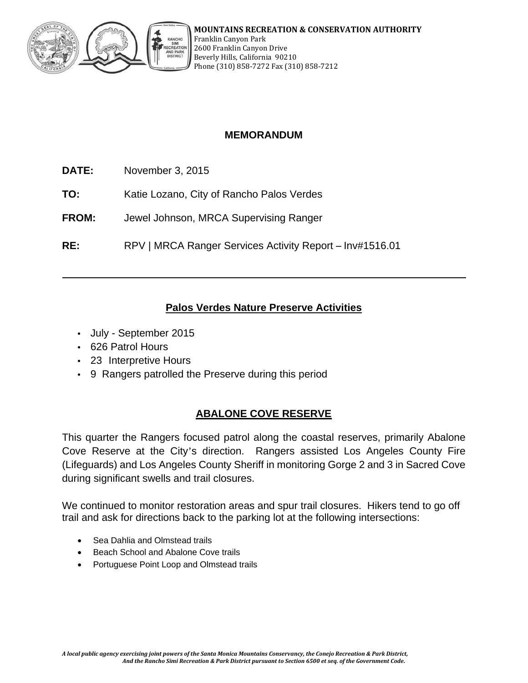

# **MEMORANDUM**

- **DATE:** November 3, 2015
- **TO:** Katie Lozano, City of Rancho Palos Verdes
- **FROM:** Jewel Johnson, MRCA Supervising Ranger
- **RE:** RPV | MRCA Ranger Services Activity Report Inv#1516.01

## **Palos Verdes Nature Preserve Activities**

- July September 2015
- 626 Patrol Hours
- 23 Interpretive Hours
- 9 Rangers patrolled the Preserve during this period

## **ABALONE COVE RESERVE**

This quarter the Rangers focused patrol along the coastal reserves, primarily Abalone Cove Reserve at the City's direction. Rangers assisted Los Angeles County Fire (Lifeguards) and Los Angeles County Sheriff in monitoring Gorge 2 and 3 in Sacred Cove during significant swells and trail closures.

We continued to monitor restoration areas and spur trail closures. Hikers tend to go off trail and ask for directions back to the parking lot at the following intersections:

- Sea Dahlia and Olmstead trails
- Beach School and Abalone Cove trails
- Portuguese Point Loop and Olmstead trails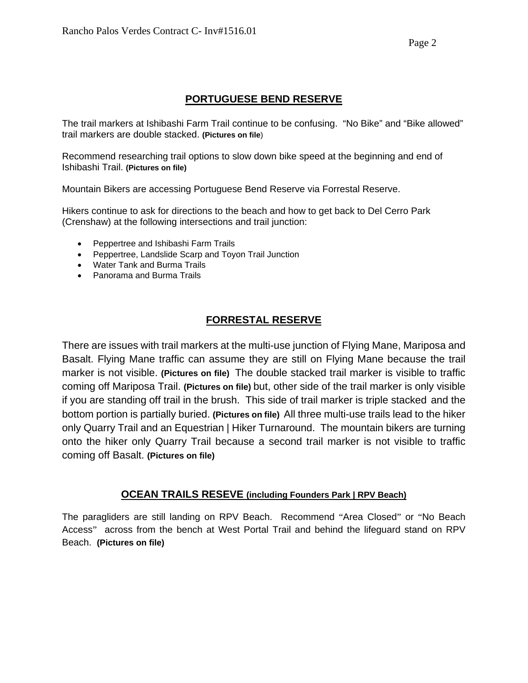### **PORTUGUESE BEND RESERVE**

The trail markers at Ishibashi Farm Trail continue to be confusing. "No Bike" and "Bike allowed" trail markers are double stacked. **(Pictures on file**)

Recommend researching trail options to slow down bike speed at the beginning and end of Ishibashi Trail. **(Pictures on file)**

Mountain Bikers are accessing Portuguese Bend Reserve via Forrestal Reserve.

Hikers continue to ask for directions to the beach and how to get back to Del Cerro Park (Crenshaw) at the following intersections and trail junction:

- Peppertree and Ishibashi Farm Trails
- Peppertree, Landslide Scarp and Toyon Trail Junction
- Water Tank and Burma Trails
- Panorama and Burma Trails

# **FORRESTAL RESERVE**

There are issues with trail markers at the multi-use junction of Flying Mane, Mariposa and Basalt. Flying Mane traffic can assume they are still on Flying Mane because the trail marker is not visible. **(Pictures on file)** The double stacked trail marker is visible to traffic coming off Mariposa Trail. **(Pictures on file)** but, other side of the trail marker is only visible if you are standing off trail in the brush. This side of trail marker is triple stacked and the bottom portion is partially buried. **(Pictures on file)** All three multi-use trails lead to the hiker only Quarry Trail and an Equestrian | Hiker Turnaround. The mountain bikers are turning onto the hiker only Quarry Trail because a second trail marker is not visible to traffic coming off Basalt. **(Pictures on file)**

### **OCEAN TRAILS RESEVE (including Founders Park | RPV Beach)**

The paragliders are still landing on RPV Beach. Recommend "Area Closed" or "No Beach Access" across from the bench at West Portal Trail and behind the lifeguard stand on RPV Beach. **(Pictures on file)**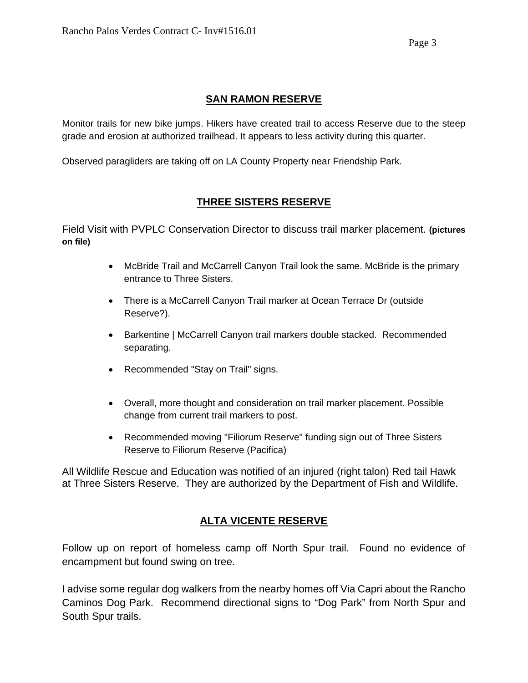# **SAN RAMON RESERVE**

Monitor trails for new bike jumps. Hikers have created trail to access Reserve due to the steep grade and erosion at authorized trailhead. It appears to less activity during this quarter.

Observed paragliders are taking off on LA County Property near Friendship Park.

# **THREE SISTERS RESERVE**

Field Visit with PVPLC Conservation Director to discuss trail marker placement. **(pictures on file)**

- McBride Trail and McCarrell Canyon Trail look the same. McBride is the primary entrance to Three Sisters.
- There is a McCarrell Canyon Trail marker at Ocean Terrace Dr (outside Reserve?).
- Barkentine | McCarrell Canyon trail markers double stacked. Recommended separating.
- Recommended "Stay on Trail" signs.
- Overall, more thought and consideration on trail marker placement. Possible change from current trail markers to post.
- Recommended moving "Filiorum Reserve" funding sign out of Three Sisters Reserve to Filiorum Reserve (Pacifica)

All Wildlife Rescue and Education was notified of an injured (right talon) Red tail Hawk at Three Sisters Reserve. They are authorized by the Department of Fish and Wildlife.

# **ALTA VICENTE RESERVE**

Follow up on report of homeless camp off North Spur trail. Found no evidence of encampment but found swing on tree.

I advise some regular dog walkers from the nearby homes off Via Capri about the Rancho Caminos Dog Park. Recommend directional signs to "Dog Park" from North Spur and South Spur trails.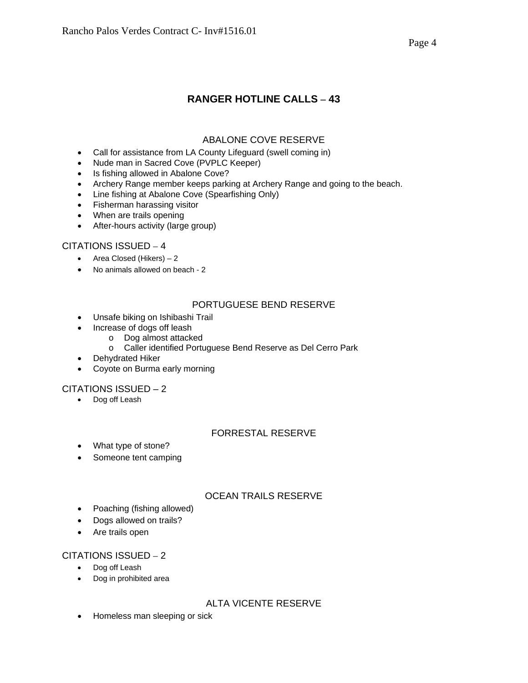# **RANGER HOTLINE CALLS – 43**

### ABALONE COVE RESERVE

- Call for assistance from LA County Lifeguard (swell coming in)
- Nude man in Sacred Cove (PVPLC Keeper)
- Is fishing allowed in Abalone Cove?
- Archery Range member keeps parking at Archery Range and going to the beach.
- Line fishing at Abalone Cove (Spearfishing Only)
- Fisherman harassing visitor
- When are trails opening
- After-hours activity (large group)

#### CITATIONS ISSUED – 4

- Area Closed (Hikers) 2
- No animals allowed on beach 2

#### PORTUGUESE BEND RESERVE

- Unsafe biking on Ishibashi Trail
- Increase of dogs off leash
	- o Dog almost attacked
		- o Caller identified Portuguese Bend Reserve as Del Cerro Park
- Dehydrated Hiker
- Coyote on Burma early morning

#### CITATIONS ISSUED – 2

• Dog off Leash

#### FORRESTAL RESERVE

- What type of stone?
- Someone tent camping

#### OCEAN TRAILS RESERVE

- Poaching (fishing allowed)
- Dogs allowed on trails?
- Are trails open

#### CITATIONS ISSUED – 2

- Dog off Leash
- Dog in prohibited area

#### ALTA VICENTE RESERVE

• Homeless man sleeping or sick